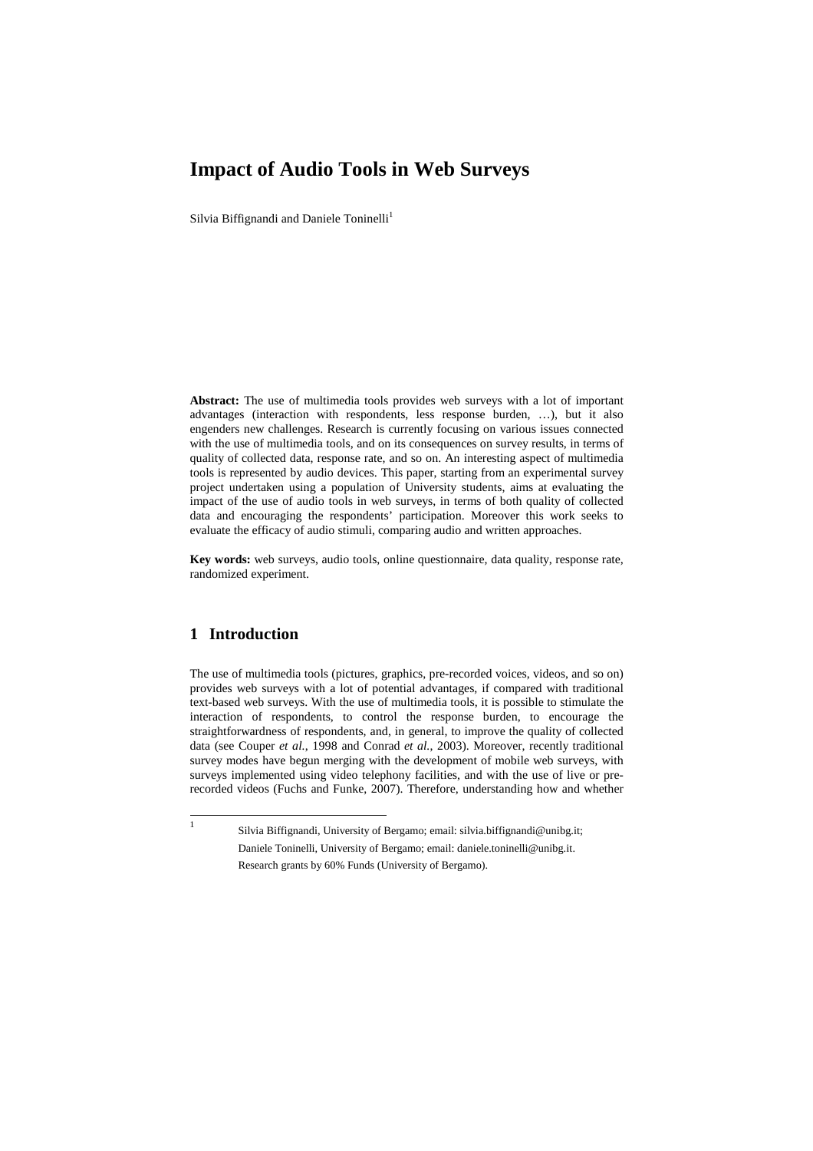# **Impact of Audio Tools in Web Surveys**

Silvia Biffignandi and Daniele Toninelli<sup>1</sup>

**Abstract:** The use of multimedia tools provides web surveys with a lot of important advantages (interaction with respondents, less response burden, …), but it also engenders new challenges. Research is currently focusing on various issues connected with the use of multimedia tools, and on its consequences on survey results, in terms of quality of collected data, response rate, and so on. An interesting aspect of multimedia tools is represented by audio devices. This paper, starting from an experimental survey project undertaken using a population of University students, aims at evaluating the impact of the use of audio tools in web surveys, in terms of both quality of collected data and encouraging the respondents' participation. Moreover this work seeks to evaluate the efficacy of audio stimuli, comparing audio and written approaches.

**Key words:** web surveys, audio tools, online questionnaire, data quality, response rate, randomized experiment.

# **1 Introduction**

The use of multimedia tools (pictures, graphics, pre-recorded voices, videos, and so on) provides web surveys with a lot of potential advantages, if compared with traditional text-based web surveys. With the use of multimedia tools, it is possible to stimulate the interaction of respondents, to control the response burden, to encourage the straightforwardness of respondents, and, in general, to improve the quality of collected data (see Couper *et al.*, 1998 and Conrad *et al.*, 2003). Moreover, recently traditional survey modes have begun merging with the development of mobile web surveys, with surveys implemented using video telephony facilities, and with the use of live or prerecorded videos (Fuchs and Funke, 2007). Therefore, understanding how and whether

 $\frac{1}{1}$ 

Silvia Biffignandi, University of Bergamo; email: silvia.biffignandi@unibg.it; Daniele Toninelli, University of Bergamo; email: daniele.toninelli@unibg.it. Research grants by 60% Funds (University of Bergamo).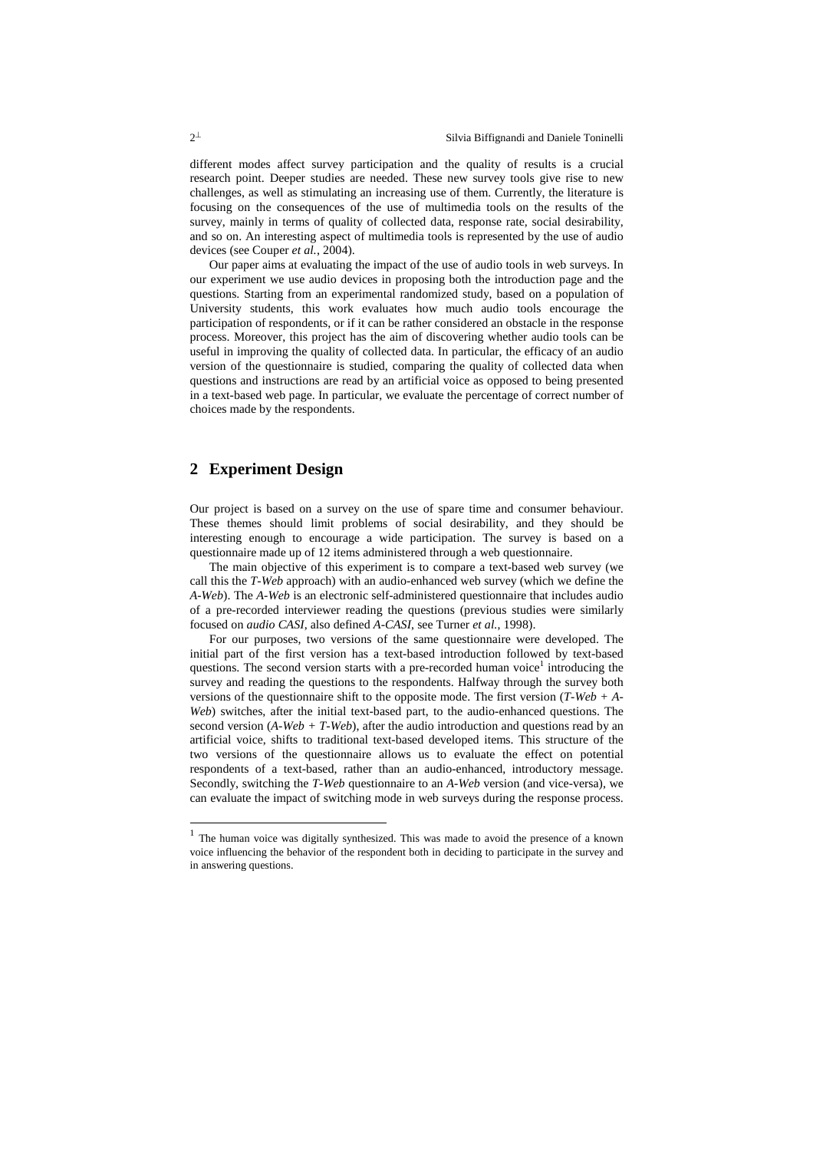different modes affect survey participation and the quality of results is a crucial research point. Deeper studies are needed. These new survey tools give rise to new challenges, as well as stimulating an increasing use of them. Currently, the literature is focusing on the consequences of the use of multimedia tools on the results of the survey, mainly in terms of quality of collected data, response rate, social desirability, and so on. An interesting aspect of multimedia tools is represented by the use of audio devices (see Couper *et al.*, 2004).

Our paper aims at evaluating the impact of the use of audio tools in web surveys. In our experiment we use audio devices in proposing both the introduction page and the questions. Starting from an experimental randomized study, based on a population of University students, this work evaluates how much audio tools encourage the participation of respondents, or if it can be rather considered an obstacle in the response process. Moreover, this project has the aim of discovering whether audio tools can be useful in improving the quality of collected data. In particular, the efficacy of an audio version of the questionnaire is studied, comparing the quality of collected data when questions and instructions are read by an artificial voice as opposed to being presented in a text-based web page. In particular, we evaluate the percentage of correct number of choices made by the respondents.

## **2 Experiment Design**

Our project is based on a survey on the use of spare time and consumer behaviour. These themes should limit problems of social desirability, and they should be interesting enough to encourage a wide participation. The survey is based on a questionnaire made up of 12 items administered through a web questionnaire.

The main objective of this experiment is to compare a text-based web survey (we call this the *T-Web* approach) with an audio-enhanced web survey (which we define the *A-Web*). The *A-Web* is an electronic self-administered questionnaire that includes audio of a pre-recorded interviewer reading the questions (previous studies were similarly focused on *audio CASI*, also defined *A-CASI*, see Turner *et al.*, 1998).

For our purposes, two versions of the same questionnaire were developed. The initial part of the first version has a text-based introduction followed by text-based questions. The second version starts with a pre-recorded human voice<sup>1</sup> introducing the survey and reading the questions to the respondents. Halfway through the survey both versions of the questionnaire shift to the opposite mode. The first version (*T-Web + A-Web*) switches, after the initial text-based part, to the audio-enhanced questions. The second version (*A-Web + T-Web*), after the audio introduction and questions read by an artificial voice, shifts to traditional text-based developed items. This structure of the two versions of the questionnaire allows us to evaluate the effect on potential respondents of a text-based, rather than an audio-enhanced, introductory message. Secondly, switching the *T-Web* questionnaire to an *A-Web* version (and vice-versa), we can evaluate the impact of switching mode in web surveys during the response process.

-

<sup>1</sup> The human voice was digitally synthesized. This was made to avoid the presence of a known voice influencing the behavior of the respondent both in deciding to participate in the survey and in answering questions.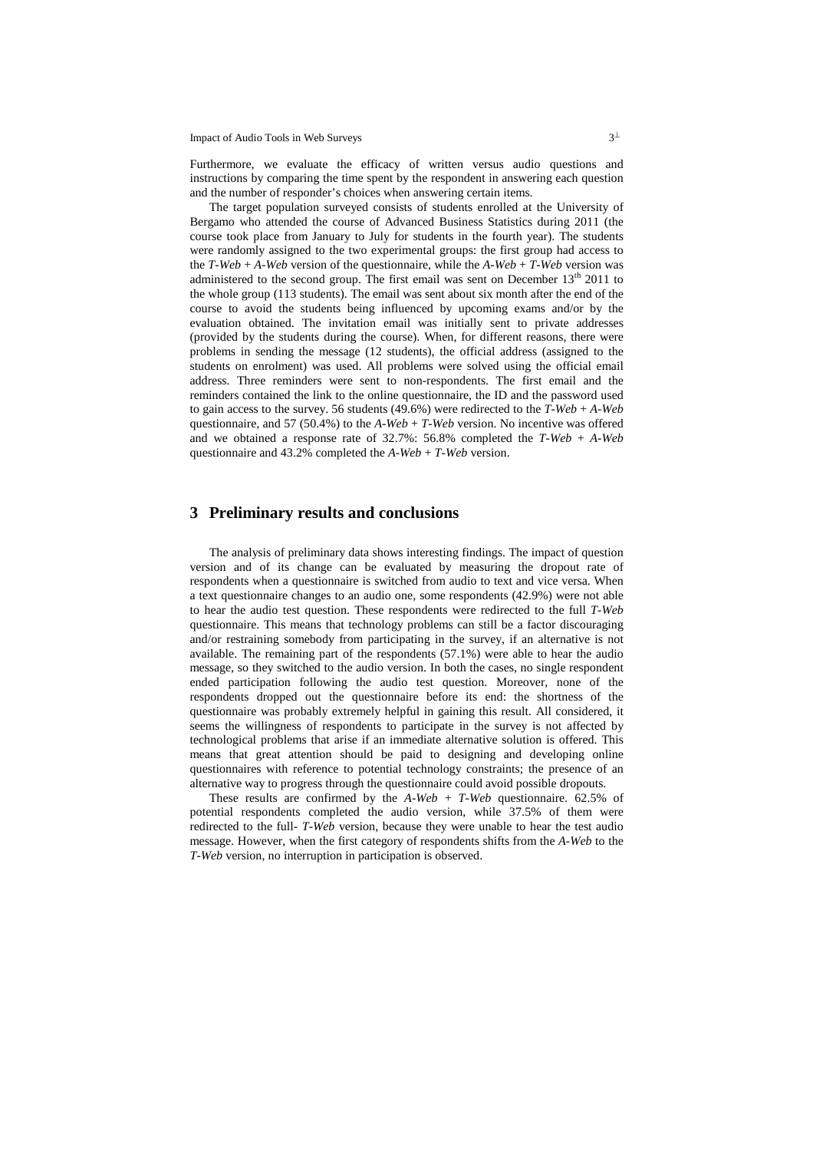Impact of Audio Tools in Web Surveys  $3<sup>\perp</sup>$ 

Furthermore, we evaluate the efficacy of written versus audio questions and instructions by comparing the time spent by the respondent in answering each question and the number of responder's choices when answering certain items.

The target population surveyed consists of students enrolled at the University of Bergamo who attended the course of Advanced Business Statistics during 2011 (the course took place from January to July for students in the fourth year). The students were randomly assigned to the two experimental groups: the first group had access to the *T-Web* +  $A$ -*Web* version of the questionnaire, while the  $A$ -*Web* +  $T$ -*Web* version was administered to the second group. The first email was sent on December  $13<sup>th</sup>$  2011 to the whole group (113 students). The email was sent about six month after the end of the course to avoid the students being influenced by upcoming exams and/or by the evaluation obtained. The invitation email was initially sent to private addresses (provided by the students during the course). When, for different reasons, there were problems in sending the message (12 students), the official address (assigned to the students on enrolment) was used. All problems were solved using the official email address. Three reminders were sent to non-respondents. The first email and the reminders contained the link to the online questionnaire, the ID and the password used to gain access to the survey. 56 students (49.6%) were redirected to the *T-Web* + *A-Web* questionnaire, and 57 (50.4%) to the *A-Web* + *T-Web* version. No incentive was offered and we obtained a response rate of 32.7%: 56.8% completed the *T-Web* + *A-Web* questionnaire and 43.2% completed the *A-Web* + *T-Web* version.

### **3 Preliminary results and conclusions**

The analysis of preliminary data shows interesting findings. The impact of question version and of its change can be evaluated by measuring the dropout rate of respondents when a questionnaire is switched from audio to text and vice versa. When a text questionnaire changes to an audio one, some respondents (42.9%) were not able to hear the audio test question. These respondents were redirected to the full *T-Web* questionnaire. This means that technology problems can still be a factor discouraging and/or restraining somebody from participating in the survey, if an alternative is not available. The remaining part of the respondents (57.1%) were able to hear the audio message, so they switched to the audio version. In both the cases, no single respondent ended participation following the audio test question. Moreover, none of the respondents dropped out the questionnaire before its end: the shortness of the questionnaire was probably extremely helpful in gaining this result. All considered, it seems the willingness of respondents to participate in the survey is not affected by technological problems that arise if an immediate alternative solution is offered. This means that great attention should be paid to designing and developing online questionnaires with reference to potential technology constraints; the presence of an alternative way to progress through the questionnaire could avoid possible dropouts.

These results are confirmed by the  $A-Web + T-Web$  questionnaire. 62.5% of potential respondents completed the audio version, while 37.5% of them were redirected to the full- *T-Web* version, because they were unable to hear the test audio message. However, when the first category of respondents shifts from the *A-Web* to the *T-Web* version, no interruption in participation is observed.